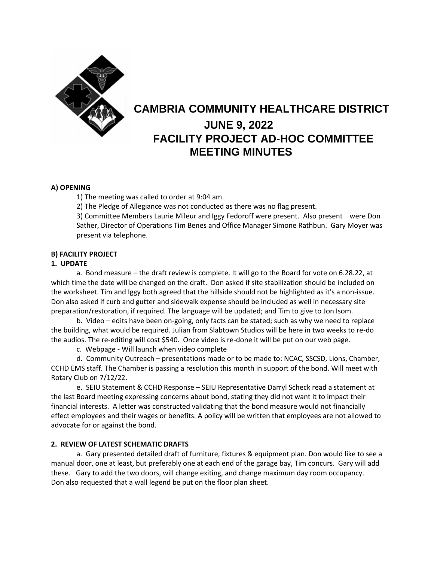

# **CAMBRIA COMMUNITY HEALTHCARE DISTRICT JUNE 9, 2022 FACILITY PROJECT AD-HOC COMMITTEE MEETING MINUTES**

# **A) OPENING**

1) The meeting was called to order at 9:04 am.

2) The Pledge of Allegiance was not conducted as there was no flag present.

3) Committee Members Laurie Mileur and Iggy Fedoroff were present. Also present were Don Sather, Director of Operations Tim Benes and Office Manager Simone Rathbun. Gary Moyer was present via telephone.

## **B) FACILITY PROJECT**

## **1. UPDATE**

a. Bond measure – the draft review is complete. It will go to the Board for vote on 6.28.22, at which time the date will be changed on the draft. Don asked if site stabilization should be included on the worksheet. Tim and Iggy both agreed that the hillside should not be highlighted as it's a non-issue. Don also asked if curb and gutter and sidewalk expense should be included as well in necessary site preparation/restoration, if required. The language will be updated; and Tim to give to Jon Isom.

b. Video – edits have been on-going, only facts can be stated; such as why we need to replace the building, what would be required. Julian from Slabtown Studios will be here in two weeks to re-do the audios. The re-editing will cost \$540. Once video is re-done it will be put on our web page.

c. Webpage - Will launch when video complete

d. Community Outreach – presentations made or to be made to: NCAC, SSCSD, Lions, Chamber, CCHD EMS staff. The Chamber is passing a resolution this month in support of the bond. Will meet with Rotary Club on 7/12/22.

e. SEIU Statement & CCHD Response – SEIU Representative Darryl Scheck read a statement at the last Board meeting expressing concerns about bond, stating they did not want it to impact their financial interests. A letter was constructed validating that the bond measure would not financially effect employees and their wages or benefits. A policy will be written that employees are not allowed to advocate for or against the bond.

## **2. REVIEW OF LATEST SCHEMATIC DRAFTS**

a. Gary presented detailed draft of furniture, fixtures & equipment plan. Don would like to see a manual door, one at least, but preferably one at each end of the garage bay, Tim concurs. Gary will add these. Gary to add the two doors, will change exiting, and change maximum day room occupancy. Don also requested that a wall legend be put on the floor plan sheet.